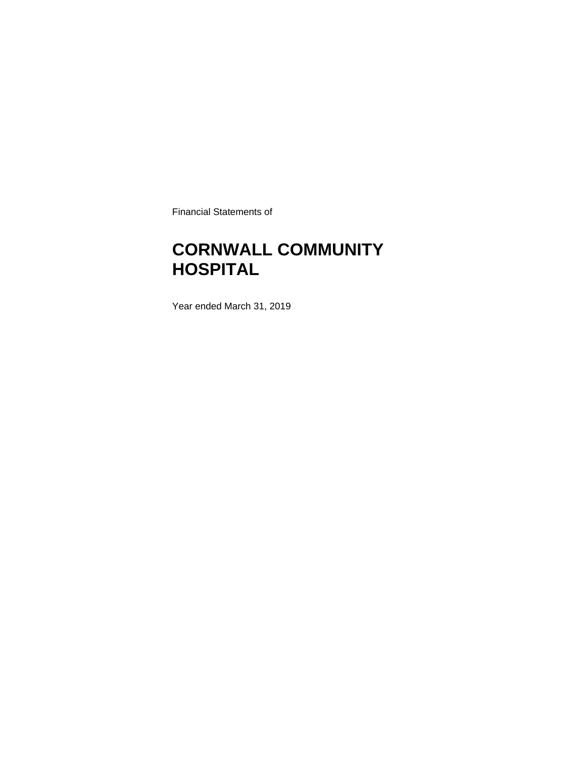Financial Statements of

# **CORNWALL COMMUNITY HOSPITAL**

Year ended March 31, 2019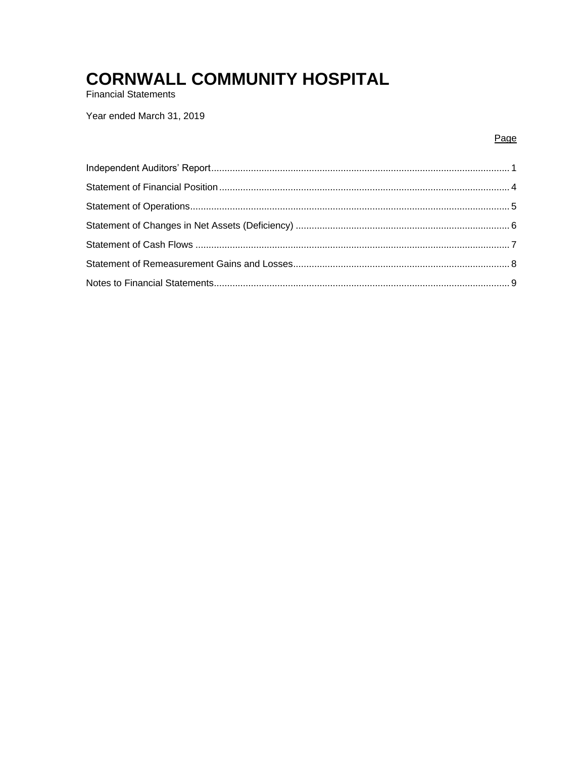**Financial Statements** 

Year ended March 31, 2019

### Page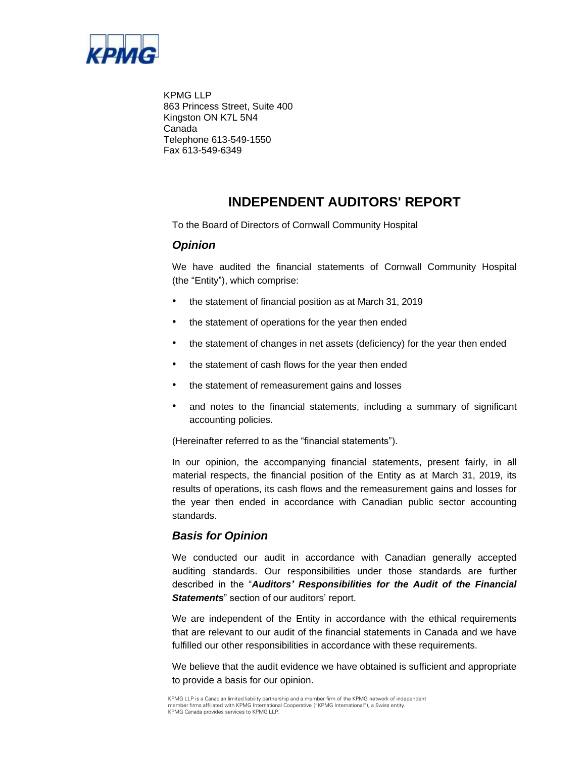

KPMG LLP 863 Princess Street, Suite 400 Kingston ON K7L 5N4 Canada Telephone 613-549-1550 Fax 613-549-6349

## **INDEPENDENT AUDITORS' REPORT**

To the Board of Directors of Cornwall Community Hospital

### *Opinion*

We have audited the financial statements of Cornwall Community Hospital (the "Entity"), which comprise:

- the statement of financial position as at March 31, 2019
- the statement of operations for the year then ended
- the statement of changes in net assets (deficiency) for the year then ended
- the statement of cash flows for the year then ended
- the statement of remeasurement gains and losses
- and notes to the financial statements, including a summary of significant accounting policies.

(Hereinafter referred to as the "financial statements").

In our opinion, the accompanying financial statements, present fairly, in all material respects, the financial position of the Entity as at March 31, 2019, its results of operations, its cash flows and the remeasurement gains and losses for the year then ended in accordance with Canadian public sector accounting standards.

## *Basis for Opinion*

We conducted our audit in accordance with Canadian generally accepted auditing standards. Our responsibilities under those standards are further described in the "*Auditors' Responsibilities for the Audit of the Financial Statements*" section of our auditors' report.

We are independent of the Entity in accordance with the ethical requirements that are relevant to our audit of the financial statements in Canada and we have fulfilled our other responsibilities in accordance with these requirements.

We believe that the audit evidence we have obtained is sufficient and appropriate to provide a basis for our opinion.

KPMG LLP is a Canadian limited liability partnership and a member firm of the KPMG network of independent member firms affiliated with KPMG International Cooperative ("KPMG International"), a Swiss entity. KPMG Canada provides services to KPMG LLP.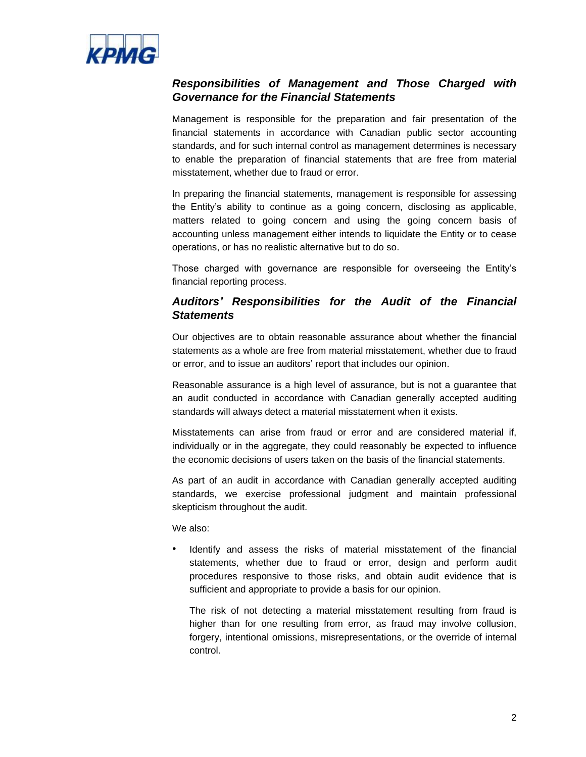

## *Responsibilities of Management and Those Charged with Governance for the Financial Statements*

Management is responsible for the preparation and fair presentation of the financial statements in accordance with Canadian public sector accounting standards, and for such internal control as management determines is necessary to enable the preparation of financial statements that are free from material misstatement, whether due to fraud or error.

In preparing the financial statements, management is responsible for assessing the Entity's ability to continue as a going concern, disclosing as applicable, matters related to going concern and using the going concern basis of accounting unless management either intends to liquidate the Entity or to cease operations, or has no realistic alternative but to do so.

Those charged with governance are responsible for overseeing the Entity's financial reporting process.

## *Auditors' Responsibilities for the Audit of the Financial Statements*

Our objectives are to obtain reasonable assurance about whether the financial statements as a whole are free from material misstatement, whether due to fraud or error, and to issue an auditors' report that includes our opinion.

Reasonable assurance is a high level of assurance, but is not a guarantee that an audit conducted in accordance with Canadian generally accepted auditing standards will always detect a material misstatement when it exists.

Misstatements can arise from fraud or error and are considered material if, individually or in the aggregate, they could reasonably be expected to influence the economic decisions of users taken on the basis of the financial statements.

As part of an audit in accordance with Canadian generally accepted auditing standards, we exercise professional judgment and maintain professional skepticism throughout the audit.

We also:

• Identify and assess the risks of material misstatement of the financial statements, whether due to fraud or error, design and perform audit procedures responsive to those risks, and obtain audit evidence that is sufficient and appropriate to provide a basis for our opinion.

The risk of not detecting a material misstatement resulting from fraud is higher than for one resulting from error, as fraud may involve collusion, forgery, intentional omissions, misrepresentations, or the override of internal control.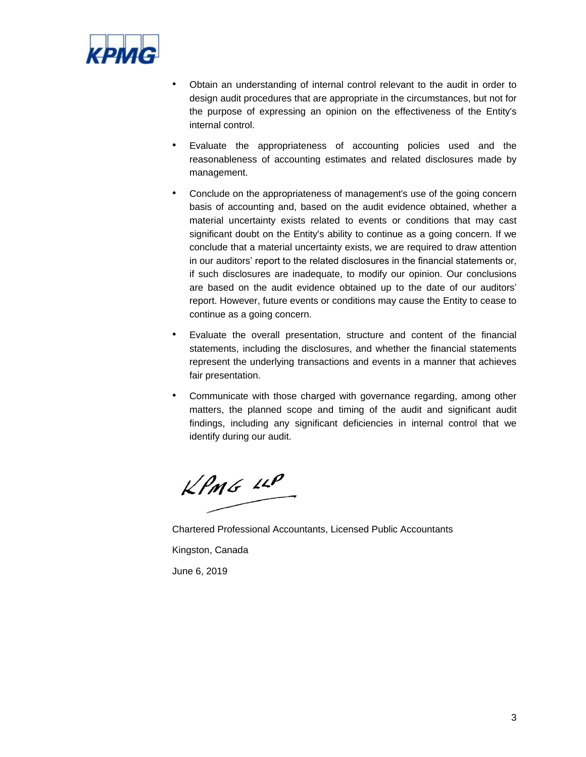

- Obtain an understanding of internal control relevant to the audit in order to design audit procedures that are appropriate in the circumstances, but not for the purpose of expressing an opinion on the effectiveness of the Entity's internal control.
- Evaluate the appropriateness of accounting policies used and the reasonableness of accounting estimates and related disclosures made by management.
- Conclude on the appropriateness of management's use of the going concern basis of accounting and, based on the audit evidence obtained, whether a material uncertainty exists related to events or conditions that may cast significant doubt on the Entity's ability to continue as a going concern. If we conclude that a material uncertainty exists, we are required to draw attention in our auditors' report to the related disclosures in the financial statements or, if such disclosures are inadequate, to modify our opinion. Our conclusions are based on the audit evidence obtained up to the date of our auditors' report. However, future events or conditions may cause the Entity to cease to continue as a going concern.
- Evaluate the overall presentation, structure and content of the financial statements, including the disclosures, and whether the financial statements represent the underlying transactions and events in a manner that achieves fair presentation.
- Communicate with those charged with governance regarding, among other matters, the planned scope and timing of the audit and significant audit findings, including any significant deficiencies in internal control that we identify during our audit.

 $KPMS$  11P

Chartered Professional Accountants, Licensed Public Accountants Kingston, Canada June 6, 2019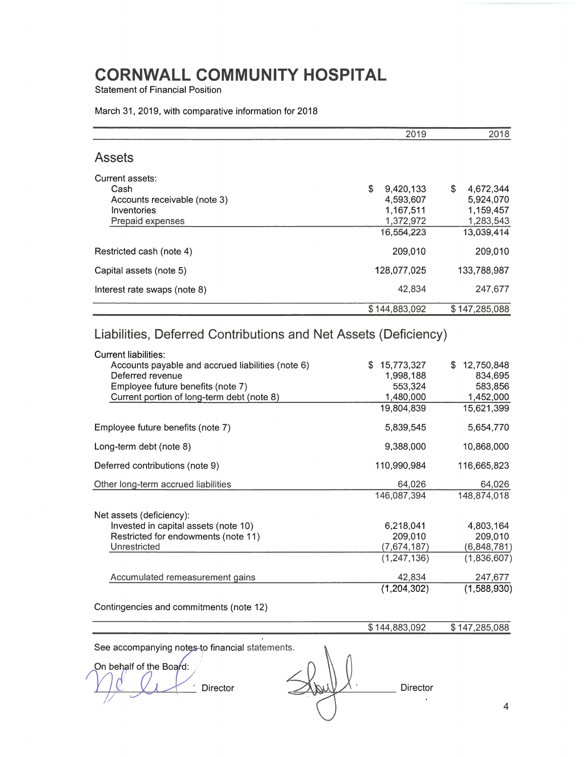**Statement of Financial Position** 

### March 31, 2019, with comparative information for 2018

|                                                                                                                                                     |     | 2019                    | 2018                    |
|-----------------------------------------------------------------------------------------------------------------------------------------------------|-----|-------------------------|-------------------------|
| <b>Assets</b>                                                                                                                                       |     |                         |                         |
| Current assets:                                                                                                                                     |     |                         |                         |
| Cash                                                                                                                                                | \$  | 9,420,133               | \$<br>4,672,344         |
| Accounts receivable (note 3)                                                                                                                        |     | 4,593,607               | 5,924,070               |
| Inventories                                                                                                                                         |     | 1,167,511               | 1,159,457               |
| Prepaid expenses                                                                                                                                    |     | 1,372,972<br>16,554,223 | 1,283,543<br>13,039,414 |
|                                                                                                                                                     |     |                         |                         |
| Restricted cash (note 4)                                                                                                                            |     | 209,010                 | 209,010                 |
| Capital assets (note 5)                                                                                                                             |     | 128,077,025             | 133,788,987             |
| Interest rate swaps (note 8)                                                                                                                        |     | 42,834                  | 247,677                 |
|                                                                                                                                                     |     | \$144,883,092           | \$147,285,088           |
| Liabilities, Deferred Contributions and Net Assets (Deficiency)<br><b>Current liabilities:</b><br>Accounts payable and accrued liabilities (note 6) | \$. | 15,773,327              | 12,750,848              |
| Deferred revenue                                                                                                                                    |     | 1,998,188               | 834,695                 |
| Employee future benefits (note 7)                                                                                                                   |     | 553,324                 | 583,856                 |
| Current portion of long-term debt (note 8)                                                                                                          |     | 1,480,000               | 1,452,000               |
|                                                                                                                                                     |     | 19,804,839              | 15,621,399              |
| Employee future benefits (note 7)                                                                                                                   |     | 5,839,545               | 5,654,770               |
| Long-term debt (note 8)                                                                                                                             |     | 9,388,000               | 10,868,000              |
| Deferred contributions (note 9)                                                                                                                     |     | 110,990,984             | 116,665,823             |
| Other long-term accrued liabilities                                                                                                                 |     | 64,026                  | 64,026                  |
|                                                                                                                                                     |     | 146,087,394             | 148,874,018             |
| Net assets (deficiency):                                                                                                                            |     |                         |                         |
| Invested in capital assets (note 10)                                                                                                                |     | 6,218,041               | 4,803,164               |
| Restricted for endowments (note 11)                                                                                                                 |     | 209,010                 | 209,010                 |
| Unrestricted                                                                                                                                        |     | (7,674,187)             | (6,848,781)             |
|                                                                                                                                                     |     | (1, 247, 136)           | (1,836,607)             |
| Accumulated remeasurement gains                                                                                                                     |     | 42,834                  | 247,677                 |
|                                                                                                                                                     |     | (1,204,302)             | (1,588,930)             |
| Contingencies and commitments (note 12)                                                                                                             |     |                         |                         |

\$144,883,092  $$147,285,088$ 

See accompanying notes-to financial statements.

ï

On behalf of the Board:  $\bar{3}$ Director

 $\bar{\mathbf{y}}$ Director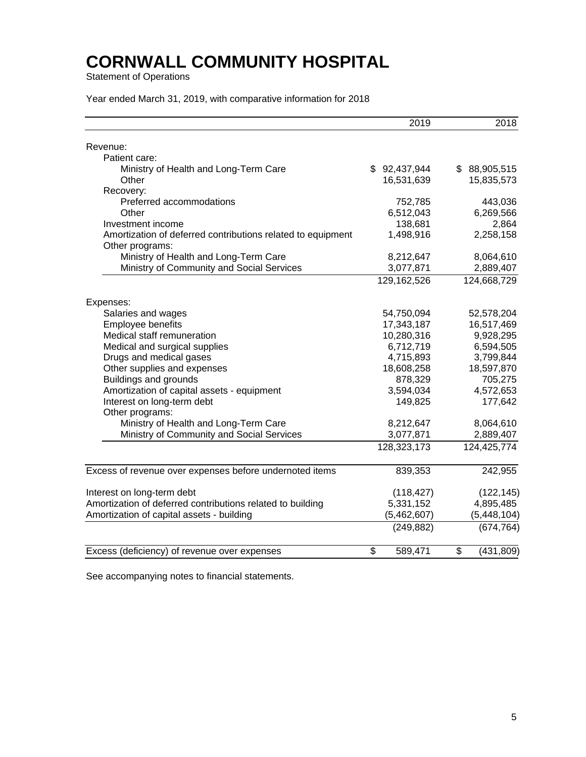Statement of Operations

Year ended March 31, 2019, with comparative information for 2018

|                                                                                | 2019          | 2018             |
|--------------------------------------------------------------------------------|---------------|------------------|
| Revenue:                                                                       |               |                  |
| Patient care:                                                                  |               |                  |
| Ministry of Health and Long-Term Care                                          | \$92,437,944  | \$ 88,905,515    |
| Other                                                                          | 16,531,639    | 15,835,573       |
| Recovery:                                                                      |               |                  |
| Preferred accommodations                                                       | 752,785       | 443,036          |
| Other                                                                          | 6,512,043     | 6,269,566        |
| Investment income                                                              | 138,681       | 2,864            |
| Amortization of deferred contributions related to equipment<br>Other programs: | 1,498,916     | 2,258,158        |
| Ministry of Health and Long-Term Care                                          | 8,212,647     | 8,064,610        |
| Ministry of Community and Social Services                                      | 3,077,871     | 2,889,407        |
|                                                                                | 129,162,526   | 124,668,729      |
| Expenses:                                                                      |               |                  |
| Salaries and wages                                                             | 54,750,094    | 52,578,204       |
| Employee benefits                                                              | 17,343,187    | 16,517,469       |
| Medical staff remuneration                                                     | 10,280,316    | 9,928,295        |
| Medical and surgical supplies                                                  | 6,712,719     | 6,594,505        |
| Drugs and medical gases                                                        | 4,715,893     | 3,799,844        |
| Other supplies and expenses                                                    | 18,608,258    | 18,597,870       |
| <b>Buildings and grounds</b>                                                   | 878,329       | 705,275          |
| Amortization of capital assets - equipment                                     | 3,594,034     | 4,572,653        |
| Interest on long-term debt<br>Other programs:                                  | 149,825       | 177,642          |
| Ministry of Health and Long-Term Care                                          | 8,212,647     | 8,064,610        |
| Ministry of Community and Social Services                                      | 3,077,871     | 2,889,407        |
|                                                                                | 128,323,173   | 124,425,774      |
|                                                                                |               |                  |
| Excess of revenue over expenses before undernoted items                        | 839,353       | 242,955          |
| Interest on long-term debt                                                     | (118, 427)    | (122, 145)       |
| Amortization of deferred contributions related to building                     | 5,331,152     | 4,895,485        |
| Amortization of capital assets - building                                      | (5,462,607)   | (5,448,104)      |
|                                                                                | (249, 882)    | (674, 764)       |
| Excess (deficiency) of revenue over expenses                                   | \$<br>589,471 | \$<br>(431, 809) |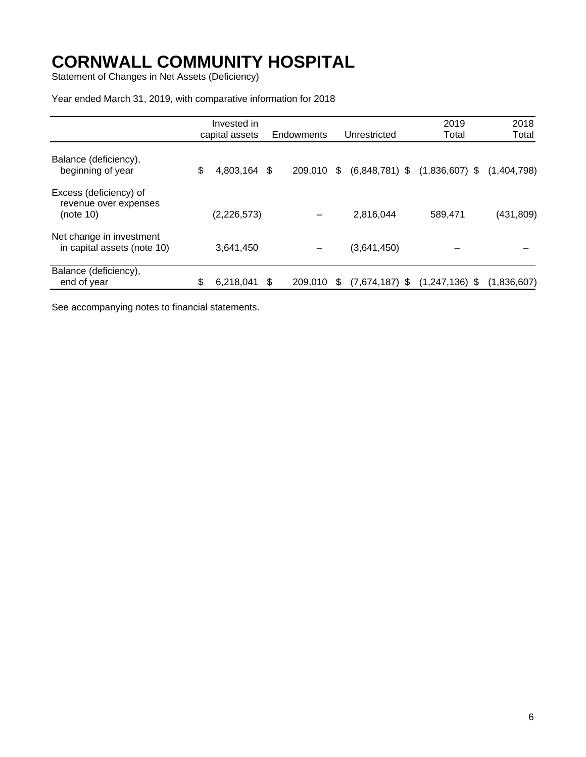Statement of Changes in Net Assets (Deficiency)

Year ended March 31, 2019, with comparative information for 2018

|                                                              | Invested in        |     |            |    |                                   | 2019    | 2018        |
|--------------------------------------------------------------|--------------------|-----|------------|----|-----------------------------------|---------|-------------|
|                                                              | capital assets     |     | Endowments |    | Unrestricted                      | Total   | Total       |
| Balance (deficiency),<br>beginning of year                   | \$<br>4,803,164 \$ |     | 209,010    | \$ | $(6,848,781)$ \$ $(1,836,607)$ \$ |         | (1,404,798) |
| Excess (deficiency) of<br>revenue over expenses<br>(note 10) | (2,226,573)        |     |            |    | 2,816,044                         | 589,471 | (431, 809)  |
| Net change in investment<br>in capital assets (note 10)      | 3,641,450          |     |            |    | (3,641,450)                       |         |             |
| Balance (deficiency),<br>end of year                         | \$<br>6,218,041    | -\$ | 209.010    | S. | $(7,674,187)$ \$ $(1,247,136)$ \$ |         | (1,836,607) |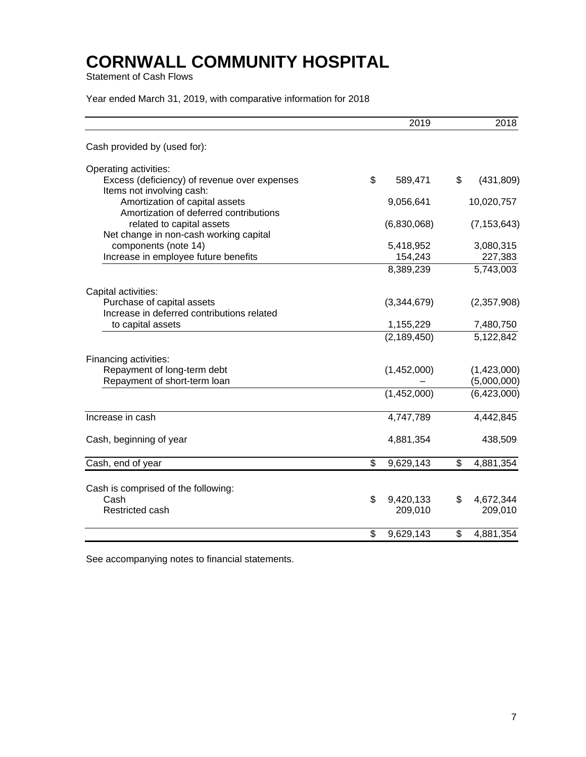Statement of Cash Flows

Year ended March 31, 2019, with comparative information for 2018

|                                                                           | 2019                 | 2018                       |
|---------------------------------------------------------------------------|----------------------|----------------------------|
| Cash provided by (used for):                                              |                      |                            |
| Operating activities:                                                     |                      |                            |
| Excess (deficiency) of revenue over expenses<br>Items not involving cash: | \$<br>589,471        | \$<br>(431, 809)           |
| Amortization of capital assets<br>Amortization of deferred contributions  | 9,056,641            | 10,020,757                 |
| related to capital assets<br>Net change in non-cash working capital       | (6,830,068)          | (7, 153, 643)              |
| components (note 14)<br>Increase in employee future benefits              | 5,418,952<br>154,243 | 3,080,315<br>227,383       |
|                                                                           | 8,389,239            | 5,743,003                  |
| Capital activities:                                                       |                      |                            |
| Purchase of capital assets<br>Increase in deferred contributions related  | (3,344,679)          | (2,357,908)                |
| to capital assets                                                         | 1,155,229            | 7,480,750                  |
|                                                                           | (2, 189, 450)        | 5,122,842                  |
| Financing activities:                                                     |                      |                            |
| Repayment of long-term debt<br>Repayment of short-term loan               | (1,452,000)          | (1,423,000)<br>(5,000,000) |
|                                                                           | (1,452,000)          | (6,423,000)                |
| Increase in cash                                                          | 4,747,789            | 4,442,845                  |
| Cash, beginning of year                                                   | 4,881,354            | 438,509                    |
| Cash, end of year                                                         | \$<br>9,629,143      | \$<br>4,881,354            |
| Cash is comprised of the following:                                       |                      |                            |
| Cash                                                                      | \$<br>9,420,133      | \$<br>4,672,344            |
| Restricted cash                                                           | 209,010              | 209,010                    |
|                                                                           | \$<br>9,629,143      | \$<br>4,881,354            |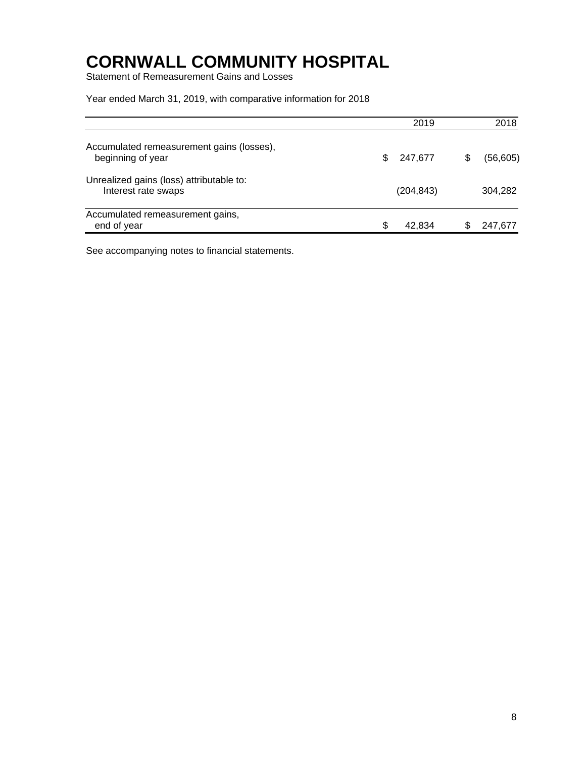Statement of Remeasurement Gains and Losses

Year ended March 31, 2019, with comparative information for 2018

|                                                                 | 2019           |     | 2018      |
|-----------------------------------------------------------------|----------------|-----|-----------|
| Accumulated remeasurement gains (losses),<br>beginning of year  | 247,677<br>\$. | S   | (56, 605) |
| Unrealized gains (loss) attributable to:<br>Interest rate swaps | (204, 843)     |     | 304,282   |
| Accumulated remeasurement gains,<br>end of year                 | S<br>42.834    | SS. | 247,677   |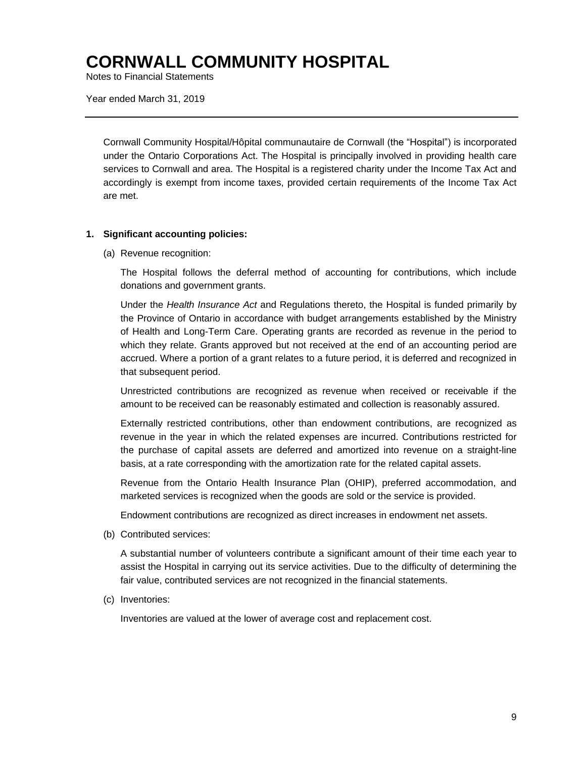Notes to Financial Statements

Year ended March 31, 2019

Cornwall Community Hospital/Hôpital communautaire de Cornwall (the "Hospital") is incorporated under the Ontario Corporations Act. The Hospital is principally involved in providing health care services to Cornwall and area. The Hospital is a registered charity under the Income Tax Act and accordingly is exempt from income taxes, provided certain requirements of the Income Tax Act are met.

#### **1. Significant accounting policies:**

(a) Revenue recognition:

The Hospital follows the deferral method of accounting for contributions, which include donations and government grants.

Under the *Health Insurance Act* and Regulations thereto, the Hospital is funded primarily by the Province of Ontario in accordance with budget arrangements established by the Ministry of Health and Long-Term Care. Operating grants are recorded as revenue in the period to which they relate. Grants approved but not received at the end of an accounting period are accrued. Where a portion of a grant relates to a future period, it is deferred and recognized in that subsequent period.

Unrestricted contributions are recognized as revenue when received or receivable if the amount to be received can be reasonably estimated and collection is reasonably assured.

Externally restricted contributions, other than endowment contributions, are recognized as revenue in the year in which the related expenses are incurred. Contributions restricted for the purchase of capital assets are deferred and amortized into revenue on a straight-line basis, at a rate corresponding with the amortization rate for the related capital assets.

Revenue from the Ontario Health Insurance Plan (OHIP), preferred accommodation, and marketed services is recognized when the goods are sold or the service is provided.

Endowment contributions are recognized as direct increases in endowment net assets.

(b) Contributed services:

A substantial number of volunteers contribute a significant amount of their time each year to assist the Hospital in carrying out its service activities. Due to the difficulty of determining the fair value, contributed services are not recognized in the financial statements.

(c) Inventories:

Inventories are valued at the lower of average cost and replacement cost.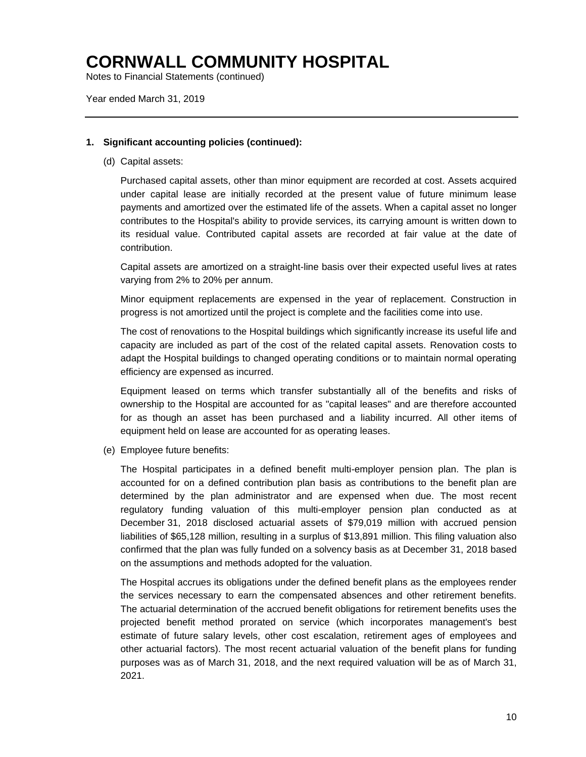Notes to Financial Statements (continued)

Year ended March 31, 2019

### **1. Significant accounting policies (continued):**

(d) Capital assets:

Purchased capital assets, other than minor equipment are recorded at cost. Assets acquired under capital lease are initially recorded at the present value of future minimum lease payments and amortized over the estimated life of the assets. When a capital asset no longer contributes to the Hospital's ability to provide services, its carrying amount is written down to its residual value. Contributed capital assets are recorded at fair value at the date of contribution.

Capital assets are amortized on a straight-line basis over their expected useful lives at rates varying from 2% to 20% per annum.

Minor equipment replacements are expensed in the year of replacement. Construction in progress is not amortized until the project is complete and the facilities come into use.

The cost of renovations to the Hospital buildings which significantly increase its useful life and capacity are included as part of the cost of the related capital assets. Renovation costs to adapt the Hospital buildings to changed operating conditions or to maintain normal operating efficiency are expensed as incurred.

Equipment leased on terms which transfer substantially all of the benefits and risks of ownership to the Hospital are accounted for as "capital leases" and are therefore accounted for as though an asset has been purchased and a liability incurred. All other items of equipment held on lease are accounted for as operating leases.

(e) Employee future benefits:

The Hospital participates in a defined benefit multi-employer pension plan. The plan is accounted for on a defined contribution plan basis as contributions to the benefit plan are determined by the plan administrator and are expensed when due. The most recent regulatory funding valuation of this multi-employer pension plan conducted as at December 31, 2018 disclosed actuarial assets of \$79,019 million with accrued pension liabilities of \$65,128 million, resulting in a surplus of \$13,891 million. This filing valuation also confirmed that the plan was fully funded on a solvency basis as at December 31, 2018 based on the assumptions and methods adopted for the valuation.

The Hospital accrues its obligations under the defined benefit plans as the employees render the services necessary to earn the compensated absences and other retirement benefits. The actuarial determination of the accrued benefit obligations for retirement benefits uses the projected benefit method prorated on service (which incorporates management's best estimate of future salary levels, other cost escalation, retirement ages of employees and other actuarial factors). The most recent actuarial valuation of the benefit plans for funding purposes was as of March 31, 2018, and the next required valuation will be as of March 31, 2021.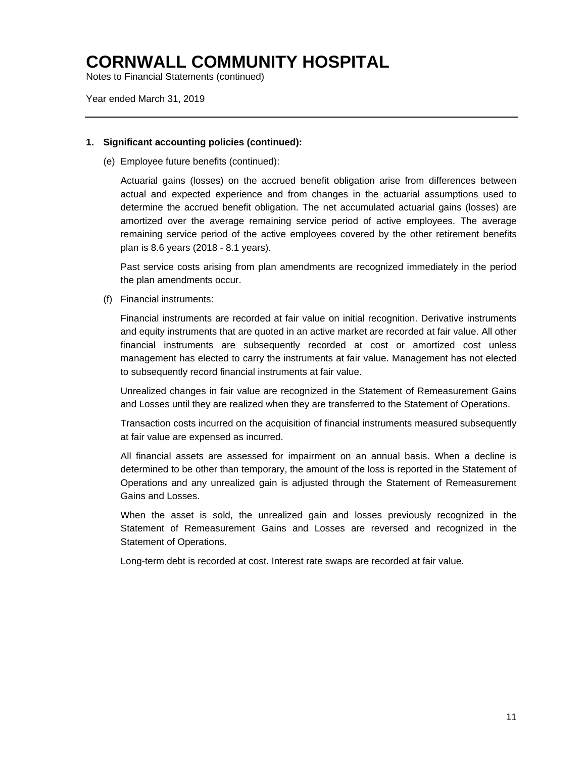Notes to Financial Statements (continued)

Year ended March 31, 2019

### **1. Significant accounting policies (continued):**

(e) Employee future benefits (continued):

Actuarial gains (losses) on the accrued benefit obligation arise from differences between actual and expected experience and from changes in the actuarial assumptions used to determine the accrued benefit obligation. The net accumulated actuarial gains (losses) are amortized over the average remaining service period of active employees. The average remaining service period of the active employees covered by the other retirement benefits plan is 8.6 years (2018 - 8.1 years).

Past service costs arising from plan amendments are recognized immediately in the period the plan amendments occur.

(f) Financial instruments:

Financial instruments are recorded at fair value on initial recognition. Derivative instruments and equity instruments that are quoted in an active market are recorded at fair value. All other financial instruments are subsequently recorded at cost or amortized cost unless management has elected to carry the instruments at fair value. Management has not elected to subsequently record financial instruments at fair value.

Unrealized changes in fair value are recognized in the Statement of Remeasurement Gains and Losses until they are realized when they are transferred to the Statement of Operations.

Transaction costs incurred on the acquisition of financial instruments measured subsequently at fair value are expensed as incurred.

All financial assets are assessed for impairment on an annual basis. When a decline is determined to be other than temporary, the amount of the loss is reported in the Statement of Operations and any unrealized gain is adjusted through the Statement of Remeasurement Gains and Losses.

When the asset is sold, the unrealized gain and losses previously recognized in the Statement of Remeasurement Gains and Losses are reversed and recognized in the Statement of Operations.

Long-term debt is recorded at cost. Interest rate swaps are recorded at fair value.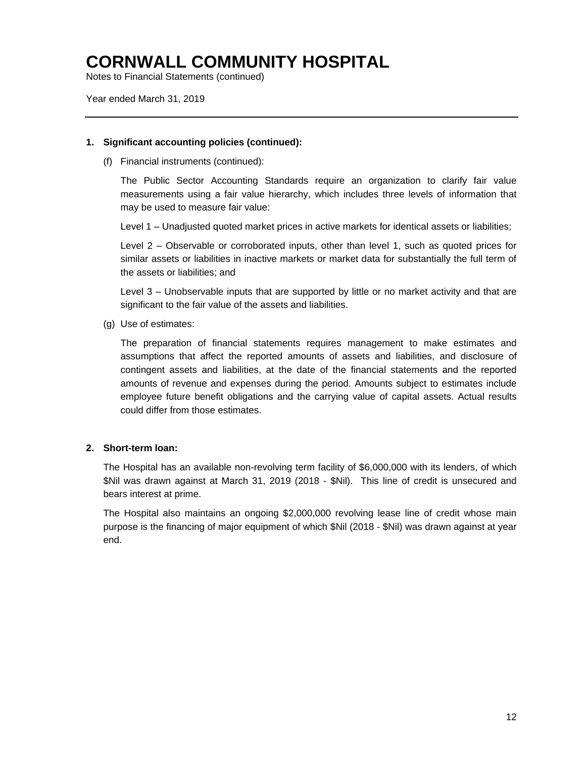Notes to Financial Statements (continued)

Year ended March 31, 2019

### **1. Significant accounting policies (continued):**

(f) Financial instruments (continued):

The Public Sector Accounting Standards require an organization to clarify fair value measurements using a fair value hierarchy, which includes three levels of information that may be used to measure fair value:

Level 1 – Unadjusted quoted market prices in active markets for identical assets or liabilities;

Level 2 – Observable or corroborated inputs, other than level 1, such as quoted prices for similar assets or liabilities in inactive markets or market data for substantially the full term of the assets or liabilities; and

Level 3 – Unobservable inputs that are supported by little or no market activity and that are significant to the fair value of the assets and liabilities.

(g) Use of estimates:

The preparation of financial statements requires management to make estimates and assumptions that affect the reported amounts of assets and liabilities, and disclosure of contingent assets and liabilities, at the date of the financial statements and the reported amounts of revenue and expenses during the period. Amounts subject to estimates include employee future benefit obligations and the carrying value of capital assets. Actual results could differ from those estimates.

### **2. Short-term loan:**

The Hospital has an available non-revolving term facility of \$6,000,000 with its lenders, of which \$Nil was drawn against at March 31, 2019 (2018 - \$Nil). This line of credit is unsecured and bears interest at prime.

The Hospital also maintains an ongoing \$2,000,000 revolving lease line of credit whose main purpose is the financing of major equipment of which \$Nil (2018 - \$Nil) was drawn against at year end.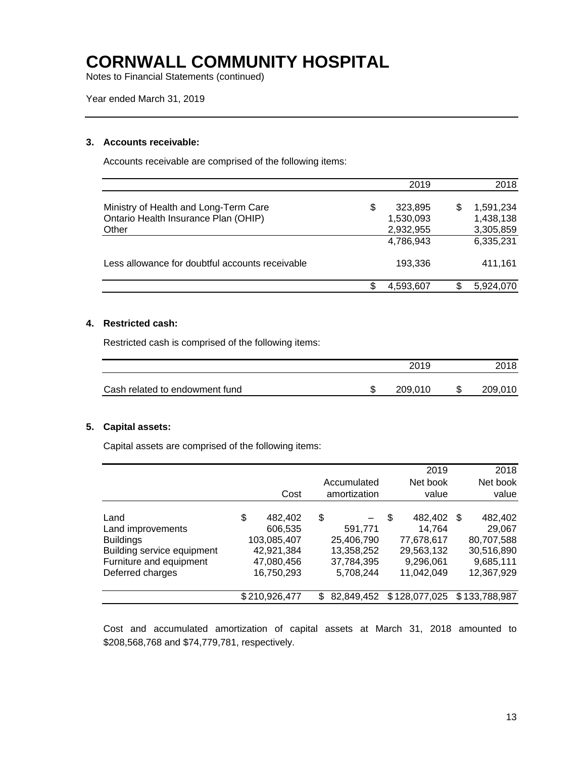Notes to Financial Statements (continued)

Year ended March 31, 2019

### **3. Accounts receivable:**

Accounts receivable are comprised of the following items:

|                                                                                        | 2019                                    |   | 2018                                |
|----------------------------------------------------------------------------------------|-----------------------------------------|---|-------------------------------------|
| Ministry of Health and Long-Term Care<br>Ontario Health Insurance Plan (OHIP)<br>Other | \$<br>323,895<br>1,530,093<br>2,932,955 | S | 1,591,234<br>1,438,138<br>3,305,859 |
|                                                                                        | 4,786,943                               |   | 6,335,231                           |
| Less allowance for doubtful accounts receivable                                        | 193.336                                 |   | 411.161                             |
|                                                                                        | 4,593,607                               |   | 5,924,070                           |

### **4. Restricted cash:**

Restricted cash is comprised of the following items:

|                                | 2019    |   | 2018    |
|--------------------------------|---------|---|---------|
| Cash related to endowment fund | 209.010 | S | 209,010 |

### **5. Capital assets:**

Capital assets are comprised of the following items:

|                                                                                                                            | Cost                                                                              | Accumulated<br>amortization                                          | 2019<br>Net book<br>value                                                      |      | 2018<br>Net book<br>value                                                |
|----------------------------------------------------------------------------------------------------------------------------|-----------------------------------------------------------------------------------|----------------------------------------------------------------------|--------------------------------------------------------------------------------|------|--------------------------------------------------------------------------|
|                                                                                                                            |                                                                                   |                                                                      |                                                                                |      |                                                                          |
| Land<br>Land improvements<br><b>Buildings</b><br>Building service equipment<br>Furniture and equipment<br>Deferred charges | \$<br>482,402<br>606,535<br>103,085,407<br>42,921,384<br>47,080,456<br>16,750,293 | \$<br>591,771<br>25,406,790<br>13,358,252<br>37,784,395<br>5,708,244 | \$<br>482,402<br>14,764<br>77,678,617<br>29,563,132<br>9,296,061<br>11,042,049 | - \$ | 482,402<br>29,067<br>80,707,588<br>30,516,890<br>9,685,111<br>12,367,929 |
|                                                                                                                            | \$210,926,477                                                                     | \$<br>82,849,452                                                     | \$128,077,025                                                                  |      | \$133,788,987                                                            |

Cost and accumulated amortization of capital assets at March 31, 2018 amounted to \$208,568,768 and \$74,779,781, respectively.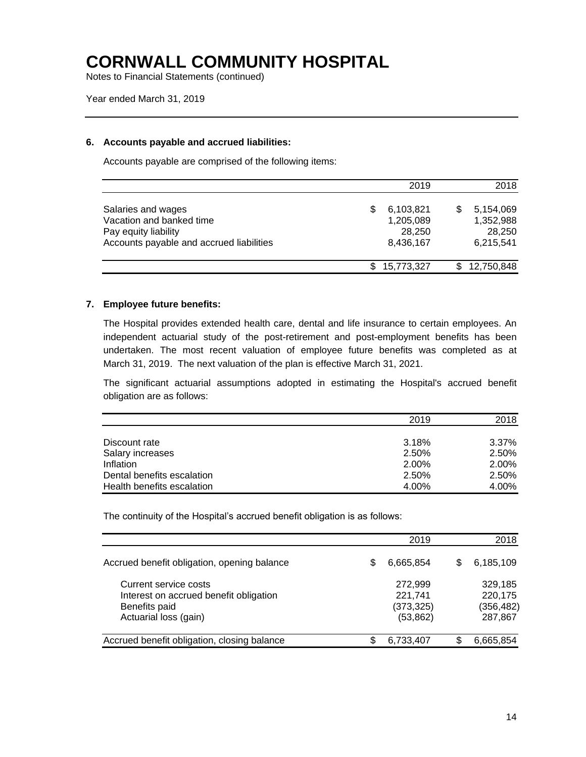Notes to Financial Statements (continued)

Year ended March 31, 2019

#### **6. Accounts payable and accrued liabilities:**

Accounts payable are comprised of the following items:

|                                                                                                                    | 2019                                          |     | 2018                                          |
|--------------------------------------------------------------------------------------------------------------------|-----------------------------------------------|-----|-----------------------------------------------|
| Salaries and wages<br>Vacation and banked time<br>Pay equity liability<br>Accounts payable and accrued liabilities | 6,103,821<br>1,205,089<br>28,250<br>8,436,167 | S   | 5,154,069<br>1,352,988<br>28,250<br>6,215,541 |
|                                                                                                                    | 15,773,327                                    | \$. | 12,750,848                                    |

#### **7. Employee future benefits:**

The Hospital provides extended health care, dental and life insurance to certain employees. An independent actuarial study of the post-retirement and post-employment benefits has been undertaken. The most recent valuation of employee future benefits was completed as at March 31, 2019. The next valuation of the plan is effective March 31, 2021.

The significant actuarial assumptions adopted in estimating the Hospital's accrued benefit obligation are as follows:

|                            | 2019  | 2018  |
|----------------------------|-------|-------|
|                            |       |       |
| Discount rate              | 3.18% | 3.37% |
| Salary increases           | 2.50% | 2.50% |
| Inflation                  | 2.00% | 2.00% |
| Dental benefits escalation | 2.50% | 2.50% |
| Health benefits escalation | 4.00% | 4.00% |

The continuity of the Hospital's accrued benefit obligation is as follows:

|                                                                                                           |   | 2019                                          |   | 2018                                        |
|-----------------------------------------------------------------------------------------------------------|---|-----------------------------------------------|---|---------------------------------------------|
| Accrued benefit obligation, opening balance                                                               | S | 6,665,854                                     | S | 6,185,109                                   |
| Current service costs<br>Interest on accrued benefit obligation<br>Benefits paid<br>Actuarial loss (gain) |   | 272,999<br>221,741<br>(373, 325)<br>(53, 862) |   | 329,185<br>220,175<br>(356, 482)<br>287,867 |
| Accrued benefit obligation, closing balance                                                               | S | 6,733,407                                     |   | 6,665,854                                   |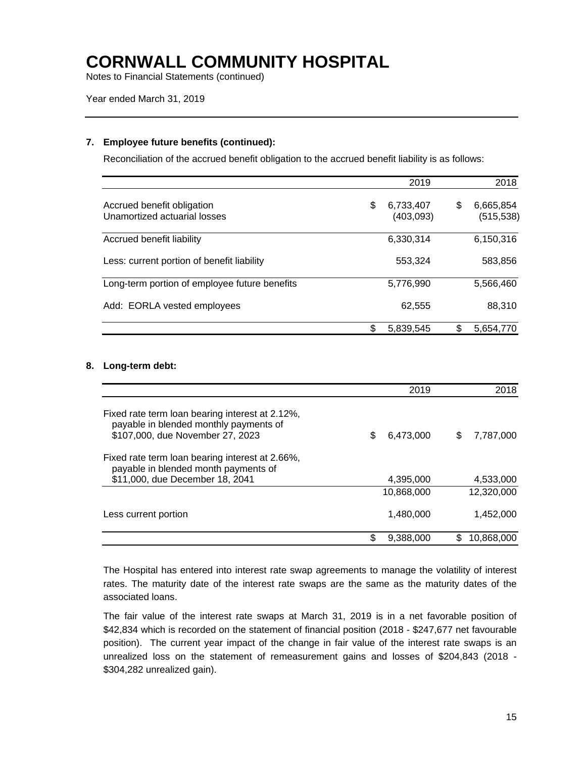Notes to Financial Statements (continued)

Year ended March 31, 2019

### **7. Employee future benefits (continued):**

Reconciliation of the accrued benefit obligation to the accrued benefit liability is as follows:

|                                                            | 2019                         |     | 2018                    |
|------------------------------------------------------------|------------------------------|-----|-------------------------|
| Accrued benefit obligation<br>Unamortized actuarial losses | \$<br>6,733,407<br>(403,093) | \$  | 6,665,854<br>(515, 538) |
| Accrued benefit liability                                  | 6,330,314                    |     | 6,150,316               |
| Less: current portion of benefit liability                 | 553,324                      |     | 583,856                 |
| Long-term portion of employee future benefits              | 5,776,990                    |     | 5,566,460               |
| Add: EORLA vested employees                                | 62,555                       |     | 88,310                  |
|                                                            | \$<br>5,839,545              | \$. | 5,654,770               |

### **8. Long-term debt:**

|                                                                                                                               | 2019            | 2018           |
|-------------------------------------------------------------------------------------------------------------------------------|-----------------|----------------|
| Fixed rate term loan bearing interest at 2.12%,<br>payable in blended monthly payments of<br>\$107,000, due November 27, 2023 | 6,473,000<br>\$ | 7,787,000<br>S |
| Fixed rate term loan bearing interest at 2.66%.<br>payable in blended month payments of<br>\$11,000, due December 18, 2041    | 4,395,000       | 4,533,000      |
|                                                                                                                               | 10.868.000      | 12.320.000     |
| Less current portion                                                                                                          | 1,480,000       | 1,452,000      |
|                                                                                                                               | S<br>9,388,000  | 10,868,000     |

The Hospital has entered into interest rate swap agreements to manage the volatility of interest rates. The maturity date of the interest rate swaps are the same as the maturity dates of the associated loans.

The fair value of the interest rate swaps at March 31, 2019 is in a net favorable position of \$42,834 which is recorded on the statement of financial position (2018 - \$247,677 net favourable position). The current year impact of the change in fair value of the interest rate swaps is an unrealized loss on the statement of remeasurement gains and losses of \$204,843 (2018 - \$304,282 unrealized gain).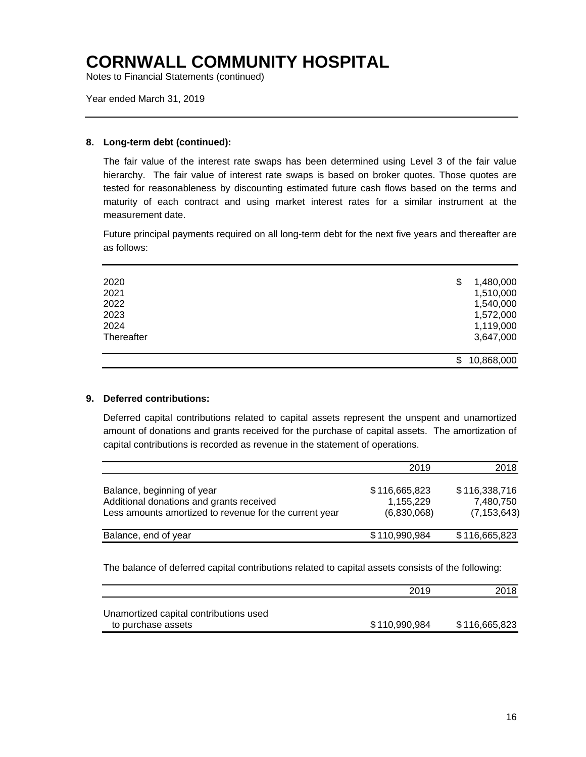Notes to Financial Statements (continued)

Year ended March 31, 2019

### **8. Long-term debt (continued):**

The fair value of the interest rate swaps has been determined using Level 3 of the fair value hierarchy. The fair value of interest rate swaps is based on broker quotes. Those quotes are tested for reasonableness by discounting estimated future cash flows based on the terms and maturity of each contract and using market interest rates for a similar instrument at the measurement date.

Future principal payments required on all long-term debt for the next five years and thereafter are as follows:

| 2020       | 1,480,000<br>\$  |
|------------|------------------|
| 2021       | 1,510,000        |
| 2022       | 1,540,000        |
| 2023       | 1,572,000        |
| 2024       | 1,119,000        |
| Thereafter | 3,647,000        |
|            | 10,868,000<br>\$ |
|            |                  |

### **9. Deferred contributions:**

Deferred capital contributions related to capital assets represent the unspent and unamortized amount of donations and grants received for the purchase of capital assets. The amortization of capital contributions is recorded as revenue in the statement of operations.

|                                                                                                                                  | 2019                                      | 2018                                        |
|----------------------------------------------------------------------------------------------------------------------------------|-------------------------------------------|---------------------------------------------|
| Balance, beginning of year<br>Additional donations and grants received<br>Less amounts amortized to revenue for the current year | \$116,665,823<br>1,155,229<br>(6,830,068) | \$116,338,716<br>7,480,750<br>(7, 153, 643) |
| Balance, end of year                                                                                                             | \$110,990,984                             | \$116,665,823                               |

The balance of deferred capital contributions related to capital assets consists of the following:

|                                                              | 2019          | 2018          |
|--------------------------------------------------------------|---------------|---------------|
| Unamortized capital contributions used<br>to purchase assets | \$110,990,984 | \$116,665,823 |
|                                                              |               |               |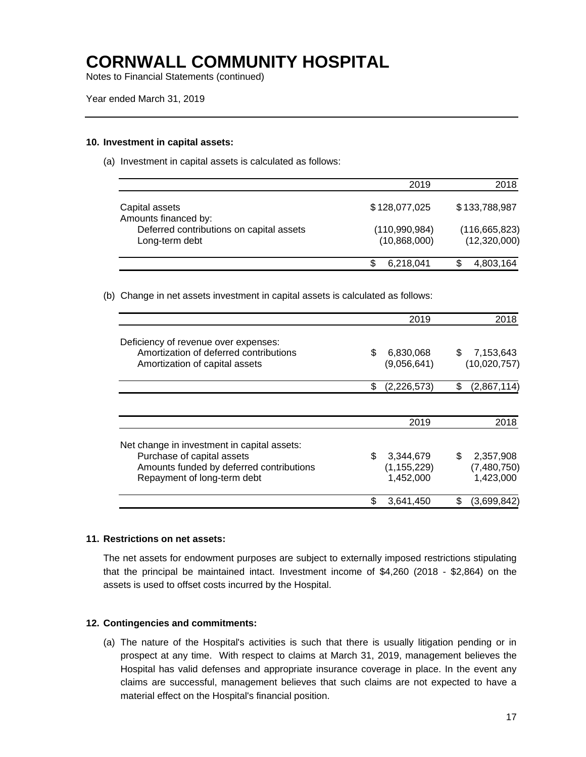Notes to Financial Statements (continued)

#### **10. Investment in capital assets:**

(a) Investment in capital assets is calculated as follows:

|                                                            | 2019                          | 2018                            |
|------------------------------------------------------------|-------------------------------|---------------------------------|
| Capital assets<br>Amounts financed by:                     | \$128,077,025                 | \$133,788,987                   |
| Deferred contributions on capital assets<br>Long-term debt | (110,990,984)<br>(10,868,000) | (116, 665, 823)<br>(12,320,000) |
|                                                            | 6,218,041                     | 4,803,164                       |

(b) Change in net assets investment in capital assets is calculated as follows:

|                                             | 2019              | 2018              |
|---------------------------------------------|-------------------|-------------------|
| Deficiency of revenue over expenses:        |                   |                   |
| Amortization of deferred contributions      | \$<br>6,830,068   | \$<br>7,153,643   |
| Amortization of capital assets              | (9,056,641)       | (10,020,757)      |
|                                             | \$<br>(2,226,573) | \$<br>(2,867,114) |
|                                             |                   |                   |
|                                             | 2019              | 2018              |
| Net change in investment in capital assets: |                   |                   |
| Purchase of capital assets                  | \$<br>3,344,679   | \$<br>2,357,908   |
| Amounts funded by deferred contributions    | (1, 155, 229)     | (7,480,750)       |
| Repayment of long-term debt                 | 1,452,000         | 1,423,000         |
|                                             | \$<br>3,641,450   | (3,699,842)       |

#### **11. Restrictions on net assets:**

The net assets for endowment purposes are subject to externally imposed restrictions stipulating that the principal be maintained intact. Investment income of \$4,260 (2018 - \$2,864) on the assets is used to offset costs incurred by the Hospital.

#### **12. Contingencies and commitments:**

(a) The nature of the Hospital's activities is such that there is usually litigation pending or in prospect at any time. With respect to claims at March 31, 2019, management believes the Hospital has valid defenses and appropriate insurance coverage in place. In the event any claims are successful, management believes that such claims are not expected to have a material effect on the Hospital's financial position.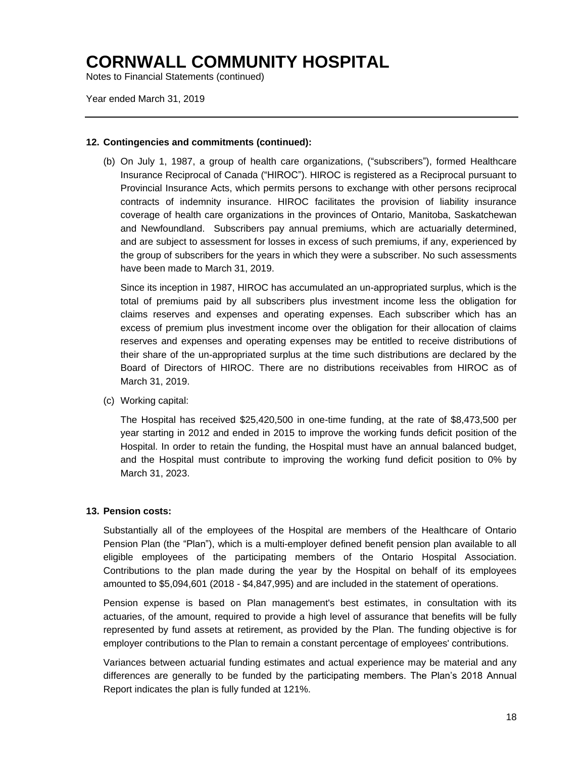Notes to Financial Statements (continued)

Year ended March 31, 2019

### **12. Contingencies and commitments (continued):**

(b) On July 1, 1987, a group of health care organizations, ("subscribers"), formed Healthcare Insurance Reciprocal of Canada ("HIROC"). HIROC is registered as a Reciprocal pursuant to Provincial Insurance Acts, which permits persons to exchange with other persons reciprocal contracts of indemnity insurance. HIROC facilitates the provision of liability insurance coverage of health care organizations in the provinces of Ontario, Manitoba, Saskatchewan and Newfoundland. Subscribers pay annual premiums, which are actuarially determined, and are subject to assessment for losses in excess of such premiums, if any, experienced by the group of subscribers for the years in which they were a subscriber. No such assessments have been made to March 31, 2019.

Since its inception in 1987, HIROC has accumulated an un-appropriated surplus, which is the total of premiums paid by all subscribers plus investment income less the obligation for claims reserves and expenses and operating expenses. Each subscriber which has an excess of premium plus investment income over the obligation for their allocation of claims reserves and expenses and operating expenses may be entitled to receive distributions of their share of the un-appropriated surplus at the time such distributions are declared by the Board of Directors of HIROC. There are no distributions receivables from HIROC as of March 31, 2019.

(c) Working capital:

The Hospital has received \$25,420,500 in one-time funding, at the rate of \$8,473,500 per year starting in 2012 and ended in 2015 to improve the working funds deficit position of the Hospital. In order to retain the funding, the Hospital must have an annual balanced budget, and the Hospital must contribute to improving the working fund deficit position to 0% by March 31, 2023.

#### **13. Pension costs:**

Substantially all of the employees of the Hospital are members of the Healthcare of Ontario Pension Plan (the "Plan"), which is a multi-employer defined benefit pension plan available to all eligible employees of the participating members of the Ontario Hospital Association. Contributions to the plan made during the year by the Hospital on behalf of its employees amounted to \$5,094,601 (2018 - \$4,847,995) and are included in the statement of operations.

Pension expense is based on Plan management's best estimates, in consultation with its actuaries, of the amount, required to provide a high level of assurance that benefits will be fully represented by fund assets at retirement, as provided by the Plan. The funding objective is for employer contributions to the Plan to remain a constant percentage of employees' contributions.

Variances between actuarial funding estimates and actual experience may be material and any differences are generally to be funded by the participating members. The Plan's 2018 Annual Report indicates the plan is fully funded at 121%.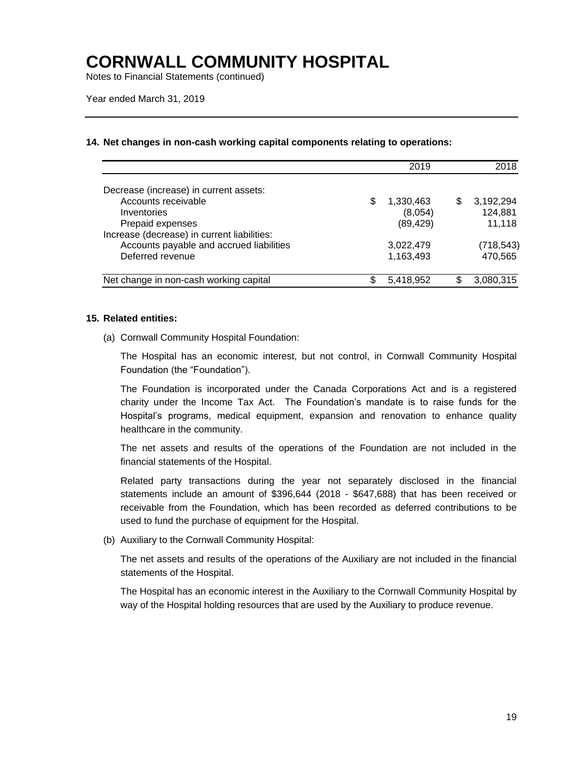Notes to Financial Statements (continued)

### **14. Net changes in non-cash working capital components relating to operations:**

|                                             |    | 2019      | 2018            |
|---------------------------------------------|----|-----------|-----------------|
| Decrease (increase) in current assets:      |    |           |                 |
| Accounts receivable                         | S  | 1,330,463 | \$<br>3,192,294 |
| Inventories                                 |    | (8,054)   | 124,881         |
| Prepaid expenses                            |    | (89, 429) | 11.118          |
| Increase (decrease) in current liabilities: |    |           |                 |
| Accounts payable and accrued liabilities    |    | 3,022,479 | (718, 543)      |
| Deferred revenue                            |    | 1,163,493 | 470,565         |
| Net change in non-cash working capital      | \$ | 5,418,952 | 3,080,315       |

#### **15. Related entities:**

(a) Cornwall Community Hospital Foundation:

The Hospital has an economic interest, but not control, in Cornwall Community Hospital Foundation (the "Foundation").

The Foundation is incorporated under the Canada Corporations Act and is a registered charity under the Income Tax Act. The Foundation's mandate is to raise funds for the Hospital's programs, medical equipment, expansion and renovation to enhance quality healthcare in the community.

The net assets and results of the operations of the Foundation are not included in the financial statements of the Hospital.

Related party transactions during the year not separately disclosed in the financial statements include an amount of \$396,644 (2018 - \$647,688) that has been received or receivable from the Foundation, which has been recorded as deferred contributions to be used to fund the purchase of equipment for the Hospital.

(b) Auxiliary to the Cornwall Community Hospital:

The net assets and results of the operations of the Auxiliary are not included in the financial statements of the Hospital.

The Hospital has an economic interest in the Auxiliary to the Cornwall Community Hospital by way of the Hospital holding resources that are used by the Auxiliary to produce revenue.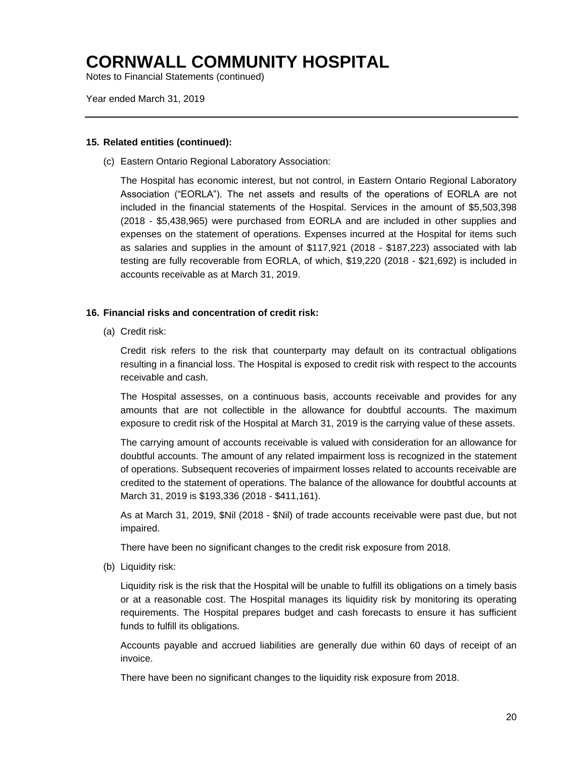Notes to Financial Statements (continued)

Year ended March 31, 2019

#### **15. Related entities (continued):**

(c) Eastern Ontario Regional Laboratory Association:

The Hospital has economic interest, but not control, in Eastern Ontario Regional Laboratory Association ("EORLA"). The net assets and results of the operations of EORLA are not included in the financial statements of the Hospital. Services in the amount of \$5,503,398 (2018 - \$5,438,965) were purchased from EORLA and are included in other supplies and expenses on the statement of operations. Expenses incurred at the Hospital for items such as salaries and supplies in the amount of \$117,921 (2018 - \$187,223) associated with lab testing are fully recoverable from EORLA, of which, \$19,220 (2018 - \$21,692) is included in accounts receivable as at March 31, 2019.

### **16. Financial risks and concentration of credit risk:**

(a) Credit risk:

Credit risk refers to the risk that counterparty may default on its contractual obligations resulting in a financial loss. The Hospital is exposed to credit risk with respect to the accounts receivable and cash.

The Hospital assesses, on a continuous basis, accounts receivable and provides for any amounts that are not collectible in the allowance for doubtful accounts. The maximum exposure to credit risk of the Hospital at March 31, 2019 is the carrying value of these assets.

The carrying amount of accounts receivable is valued with consideration for an allowance for doubtful accounts. The amount of any related impairment loss is recognized in the statement of operations. Subsequent recoveries of impairment losses related to accounts receivable are credited to the statement of operations. The balance of the allowance for doubtful accounts at March 31, 2019 is \$193,336 (2018 - \$411,161).

As at March 31, 2019, \$Nil (2018 - \$Nil) of trade accounts receivable were past due, but not impaired.

There have been no significant changes to the credit risk exposure from 2018.

(b) Liquidity risk:

Liquidity risk is the risk that the Hospital will be unable to fulfill its obligations on a timely basis or at a reasonable cost. The Hospital manages its liquidity risk by monitoring its operating requirements. The Hospital prepares budget and cash forecasts to ensure it has sufficient funds to fulfill its obligations.

Accounts payable and accrued liabilities are generally due within 60 days of receipt of an invoice.

There have been no significant changes to the liquidity risk exposure from 2018.